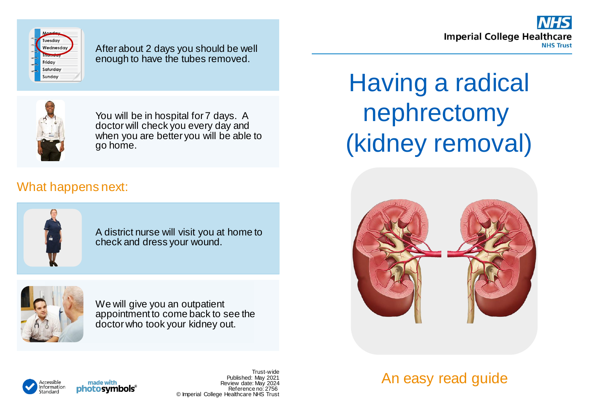



After about 2 days you should be well enough to have the tubes removed.



You will be in hospital for 7 days. A doctor will check you every day and when you are better you will be able to go home.

## What happens next:



A district nurse will visit you at home to check and dress your wound.



We will give you an outpatient appointment to come back to see the doctor who took your kidney out.

Having a radical nephrectomy (kidney removal)



An easy read guide



made with photosymbols®

Trust-wide Published: May 2021 Review date: May 2024 Reference no: 2756 © Imperial College Healthcare NHS Trust